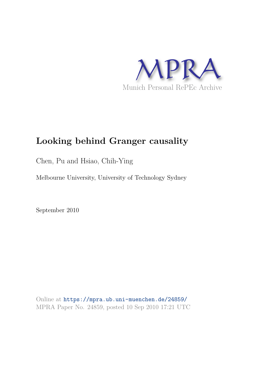

# **Looking behind Granger causality**

Chen, Pu and Hsiao, Chih-Ying

Melbourne University, University of Technology Sydney

September 2010

Online at https://mpra.ub.uni-muenchen.de/24859/ MPRA Paper No. 24859, posted 10 Sep 2010 17:21 UTC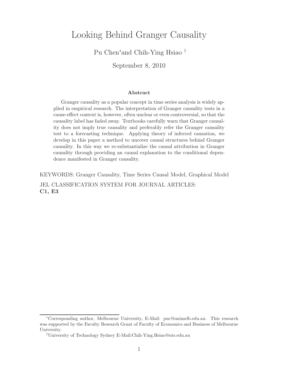## Looking Behind Granger Causality

### Pu Chen<sup>∗</sup> and Chih-Ying Hsiao †

September 8, 2010

#### Abstract

Granger causality as a popular concept in time series analysis is widely applied in empirical research. The interpretation of Granger causality tests in a cause-effect context is, however, often unclear or even controversial, so that the causality label has faded away. Textbooks carefully warn that Granger causality does not imply true causality and preferably refer the Granger causality test to a forecasting technique. Applying theory of inferred causation, we develop in this paper a method to uncover causal structures behind Granger causality. In this way we re-substantialize the causal attribution in Granger causality through providing an causal explanation to the conditional dependence manifested in Granger causality.

KEYWORDS: Granger Causality, Time Series Causal Model, Graphical Model JEL CLASSIFICATION SYSTEM FOR JOURNAL ARTICLES: C1, E3

<sup>∗</sup>Corresponding author, Melbourne University, E-Mail: puc@unimelb.edu.au. This research was supported by the Faculty Research Grant of Faculty of Economics and Business of Melbourne University.

<sup>†</sup>University of Technology Sydney E-Mail:Chih-Ying.Hsiao@uts.edu.au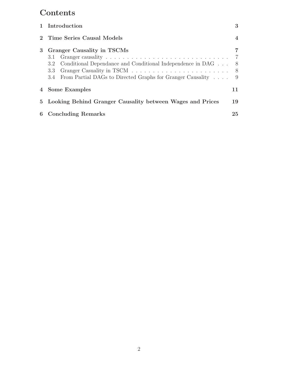# **Contents**

|   | 1 Introduction                                                                                                                                                                 | 3                                 |  |  |  |
|---|--------------------------------------------------------------------------------------------------------------------------------------------------------------------------------|-----------------------------------|--|--|--|
|   | Time Series Causal Models                                                                                                                                                      | 4                                 |  |  |  |
| 3 | <b>Granger Causality in TSCMs</b><br>3.2 Conditional Dependance and Conditional Independence in DAG<br>3.3<br>3.4 From Partial DAGs to Directed Graphs for Granger Causality 9 | 7<br>- 7<br>8 <sup>8</sup><br>- 8 |  |  |  |
|   | 4 Some Examples                                                                                                                                                                | 11                                |  |  |  |
|   | 5 Looking Behind Granger Causality between Wages and Prices                                                                                                                    | 19                                |  |  |  |
|   | 6 Concluding Remarks                                                                                                                                                           |                                   |  |  |  |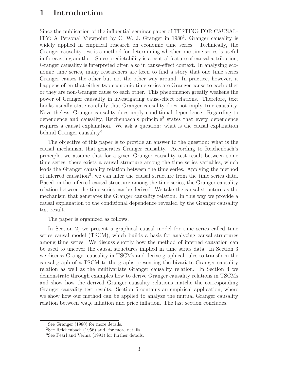### 1 Introduction

Since the publication of the influential seminar paper of TESTING FOR CAUSAL-ITY: A Personal Viewpoint by C. W. J. Granger in 1980<sup>1</sup>, Granger causality is widely applied in empirical research on economic time series. Technically, the Granger causality test is a method for determining whether one time series is useful in forecasting another. Since predictability is a central feature of causal attribution, Granger causality is interpreted often also in cause-effect context. In analyzing economic time series, many researchers are keen to find a story that one time series Granger causes the other but not the other way around. In practice, however, it happens often that either two economic time series are Granger cause to each other or they are non-Granger cause to each other. This phenomenon greatly weakens the power of Granger causality in investigating cause-effect relations. Therefore, text books usually state carefully that Granger causality does not imply true causality. Nevertheless, Granger causality does imply conditional dependence. Regarding to dependence and causality, Reichenbach's principle<sup>2</sup> states that every dependence requires a causal explanation. We ask a question: what is the causal explanation behind Granger causality?

The objective of this paper is to provide an answer to the question: what is the causal mechanism that generates Granger causality. According to Reichenbach's principle, we assume that for a given Granger causality test result between some time series, there exists a causal structure among the time series variables, which leads the Granger causality relation between the time series. Applying the method of inferred causation<sup>3</sup>, we can infer the causal structure from the time series data. Based on the inferred causal structure among the time series, the Granger causality relation between the time series can be derived. We take the causal structure as the mechanism that generates the Granger causality relation. In this way we provide a causal explanation to the conditional dependence revealed by the Granger causality test result.

The paper is organized as follows.

In Section 2, we present a graphical causal model for time series called time series causal model (TSCM), which builds a basis for analyzing causal structures among time series. We discuss shortly how the method of inferred causation can be used to uncover the causal structures implied in time series data. In Section 3 we discuss Granger causality in TSCMs and derive graphical rules to transform the causal graph of a TSCM to the graphs presenting the bivariate Granger causality relation as well as the multivariate Granger causality relation. In Section 4 we demonstrate through examples how to derive Granger causality relations in TSCMs and show how the derived Granger causality relations matche the corresponding Granger causality test results. Section 5 contains an empirical application, where we show how our method can be applied to analyze the mutual Granger causality relation between wage inflation and price inflation. The last section concludes.

<sup>1</sup>See Granger (1980) for more details.

<sup>2</sup>See Reichenbach (1956) and for more details.

<sup>3</sup>See Pearl and Verma (1991) for further details.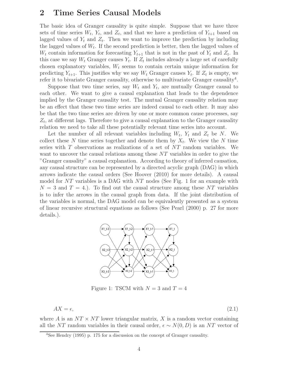### 2 Time Series Causal Models

The basic idea of Granger causality is quite simple. Suppose that we have three sets of time series  $W_t$ ,  $Y_t$ , and  $Z_t$ , and that we have a prediction of  $Y_{t+1}$  based on lagged values of  $Y_t$  and  $Z_t$ . Then we want to improve the prediction by including the lagged values of  $W_t$ . If the second prediction is better, then the lagged values of  $W_t$  contain information for forecasting  $Y_{t+1}$  that is not in the past of  $Y_t$  and  $Z_t$ . In this case we say  $W_t$  Granger causes  $Y_t$ . If  $Z_t$  includes already a large set of carefully chosen explanatory variables,  $W_t$  seems to contain certain unique information for predicting  $Y_{t+1}$ . This justifies why we say  $W_t$  Granger causes  $Y_t$ . If  $Z_t$  is empty, we refer it to bivariate Granger causality, otherwise to multivariate Granger causality<sup>4</sup>.

Suppose that two time series, say  $W_t$  and  $Y_t$ , are mutually Granger causal to each other. We want to give a causal explanation that leads to the dependence implied by the Granger causality test. The mutual Granger causality relation may be an effect that these two time series are indeed causal to each other. It may also be that the two time series are driven by one or more common cause processes, say  $Z_t$ , at different lags. Therefore to give a causal explanation to the Granger causality relation we need to take all these potentially relevant time series into account.

Let the number of all relevant variables including  $W_t$ ,  $Y_t$  and  $Z_t$  be N. We collect these N time series together and denote them by  $X_t$ . We view the N time series with T observations as realizations of a set of NT random variables. We want to uncover the causal relations among these NT variables in order to give the "Granger causality" a causal explanation. According to theory of inferred causation, any causal structure can be represented by a directed acyclic graph (DAG) in which arrows indicate the causal orders (See Hoover (2010) for more details). A causal model for NT variables is a DAG with  $NT$  nodes (See Fig. 1 for an example with  $N = 3$  and  $T = 4$ .). To find out the causal structure among these NT variables is to infer the arrows in the causal graph from data. If the joint distribution of the variables is normal, the DAG model can be equivalently presented as a system of linear recursive structural equations as follows (See Pearl (2000) p. 27 for more details.).



Figure 1: TSCM with  $N = 3$  and  $T = 4$ 

$$
AX = \epsilon,\tag{2.1}
$$

where A is an  $NT \times NT$  lower triangular matrix, X is a random vector containing all the NT random variables in their causal order,  $\epsilon \sim N(0, D)$  is an NT vector of

<sup>4</sup>See Hendry (1995) p. 175 for a discussion on the concept of Granger causality.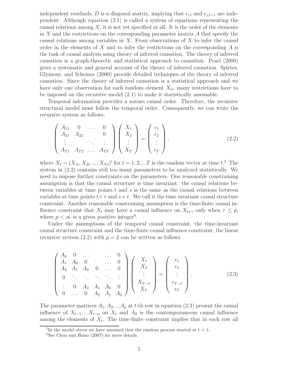independent residuals, D is a diagonal matrix, implying that  $\epsilon_{i,t}$  and  $\epsilon_{i,t-\tau}$  are independent. Although equation (2.1) is called a system of equations representing the causal relations among  $X$ , it is not yet specified at all. It is the order of the elements in  $X$  and the restrictions on the corresponding parameter matrix  $A$  that specify the causal relations among variables in  $X$ . From observations of  $X$  to infer the causal order in the elements of  $X$  and to infer the restrictions on the corresponding  $A$  is the task of causal analysis using theory of inferred causation. The theory of inferred causation is a graph-theoretic and statistical approach to causation. Pearl (2000) gives a systematic and general account of the theory of inferred causation. Spirtes, Glymour, and Scheines (2000) provide detailed techniques of the theory of inferred causation. Since the theory of inferred causation is a statistical approach and we have only one observation for each random element  $X_{it}$ , many restrictions have to be imposed on the recursive model (2.1) to make it statistically assessable.

Temporal information provides a nature causal order. Therefore, the recursive structural model must follow the temporal order. Consequently, we can write the recursive system as follows:

$$
\begin{pmatrix}\nA_{11} & 0 & \dots & 0 \\
A_{21} & A_{22} & & 0 \\
\vdots & & \ddots & \vdots \\
A_{T1} & A_{T2} & \dots & A_{TT}\n\end{pmatrix}\n\begin{pmatrix}\nX_1 \\
X_2 \\
\vdots \\
X_T\n\end{pmatrix} = \begin{pmatrix}\n\epsilon_1 \\
\epsilon_2 \\
\vdots \\
\epsilon_T\n\end{pmatrix},
$$
\n(2.2)

where  $X_t = (X_{1t}, X_{2t}, ..., X_{Nt})'$  for  $t = 1, 2, ...T$  is the random vector at time  $t$ <sup>5</sup>. The system in (2.2) contains still too many parameters to be analyzed statistically. We need to impose further constraints on the parameters. One reasonable constraining assumption is that the causal structure is time invariant: the causal relations between variables at time points  $t$  and  $s$  is the same as the causal relations between variables at time points  $t+\tau$  and  $s+\tau$ . We call it the time invariant causal structure constraint. Another reasonable constraining assumption is the time-finite causal influence constraint that  $X_t$  may have a causal influence on  $X_{t+\tau}$  only when  $\tau \leq p$ , where  $p < \infty$  is a given positive integer<sup>6</sup>.

Under the assumptions of the temporal causal constraint, the time-invariant causal structure constraint and the time-finite causal influence constraint, the linear recursive system  $(2.2)$  with  $p = 2$  can be written as follows

$$
\begin{pmatrix}\nA_0 & 0 & \dots & & \dots & 0 \\
A_1 & A_0 & 0 & & \dots & 0 \\
A_2 & A_1 & A_0 & 0 & \dots & 0 \\
0 & \ddots & \ddots & \ddots & \ddots & \vdots \\
\vdots & 0 & A_2 & A_1 & A_0 & 0 \\
0 & \dots & 0 & A_2 & A_1 & A_0\n\end{pmatrix}\n\begin{pmatrix}\nX_1 \\
X_2 \\
\vdots \\
X_{T-1} \\
X_T\n\end{pmatrix} = \begin{pmatrix}\n\epsilon_1 \\
\epsilon_2 \\
\vdots \\
\epsilon_{T-1} \\
\epsilon_T\n\end{pmatrix}.
$$
\n(2.3)

The parameter matrices  $A_1, A_2, \ldots, A_p$  at t-th row in equation (2.3) present the causal influence of  $X_{t-1},...X_{t-p}$  on  $X_t$  and  $A_0$  is the contemporaneous causal influence among the elements of  $X_t$ . The time-finite constraint implies that in each row all

<sup>&</sup>lt;sup>5</sup>In the model above we have assumed that the random process started at  $t = 1$ .

 ${}^{6}$ See Chen and Hsiao (2007) for more details.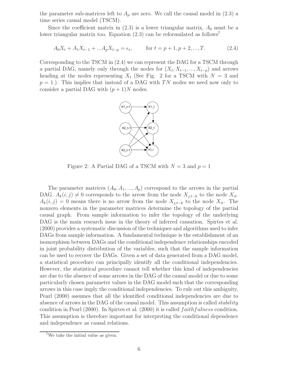the parameter sub-matrices left to  $A_p$  are zero. We call the causal model in (2.3) a time series causal model (TSCM).

Since the coefficient matrix in  $(2.3)$  is a lower triangular matrix,  $A_0$  must be a lower triangular matrix too. Equation  $(2.3)$  can be reformulated as follows<sup>7</sup>

$$
A_0 X_t + A_1 X_{t-1} + ... A_p X_{t-p} = \epsilon_t, \qquad \text{for } t = p+1, p+2, ..., T.
$$
 (2.4)

Corresponding to the TSCM in (2.4) we can represent the DAG for a TSCM through a partial DAG, namely only through the nodes for  $(X_t, X_{t-1}, ..., X_{t-p})$  and arrows heading at the nodes representing  $X_t$  (See Fig. 2 for a TSCM with  $N = 3$  and  $p = 1$ .). This implies that instead of a DAG with TN nodes we need now only to consider a partial DAG with  $(p+1)N$  nodes.



Figure 2: A Partial DAG of a TSCM with  $N = 3$  and  $p = 1$ 

The parameter matrices  $(A_0, A_1, ..., A_p)$  correspond to the arrows in the partial DAG.  $A_k(i, j) \neq 0$  corresponds to the arrow from the node  $X_{j,t-k}$  to the node  $X_{it}$ .  $A_k(i, j) = 0$  means there is no arrow from the node  $X_{j,t-k}$  to the node  $X_{it}$ . The nonzero elements in the parameter matrices determine the topology of the partial causal graph. From sample information to infer the topology of the underlying DAG is the main research issue in the theory of inferred causation. Spirtes et al. (2000) provides a systematic discussion of the techniques and algorithms used to infer DAGs from sample information. A fundamental technique is the establishment of an isomorphism between DAGs and the conditional independence relationships encoded in joint probability distribution of the variables, such that the sample information can be used to recover the DAGs. Given a set of data generated from a DAG model, a statistical procedure can principally identify all the conditional independencies. However, the statistical procedure cannot tell whether this kind of independencies are due to the absence of some arrows in the DAG of the causal model or due to some particularly chosen parameter values in the DAG model such that the corresponding arrows in this case imply the conditional independencies. To rule out this ambiguity, Pearl (2000) assumes that all the identified conditional independencies are due to absence of arrows in the DAG of the causal model. This assumption is called *stability* condition in Pearl  $(2000)$ . In Spirtes et al.  $(2000)$  it is called  $faithfulness$  condition. This assumption is therefore important for interpreting the conditional dependence and independence as causal relations.

<sup>7</sup>We take the initial value as given.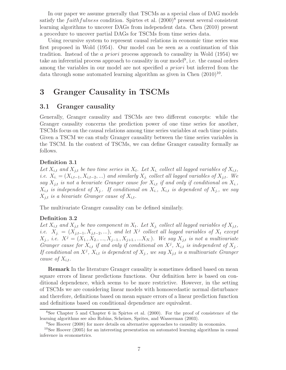In our paper we assume generally that TSCMs as a special class of DAG models satisfy the *faithfulness* condition. Spirtes et al.  $(2000)^8$  present several consistent learning algorithms to uncover DAGs from independent data. Chen (2010) present a procedure to uncover partial DAGs for TSCMs from time series data.

Using recursive system to represent causal relations in economic time series was first proposed in Wold (1954). Our model can be seen as a continuation of this tradition. Instead of the a priori process approach to causality in Wold (1954) we take an inferential process approach to causality in our model<sup>9</sup>, i.e. the causal orders among the variables in our model are not specified a *priori* but inferred from the data through some automated learning algorithm as given in Chen  $(2010)^{10}$ .

### 3 Granger Causality in TSCMs

#### 3.1 Granger causality

Generally, Granger causality and TSCMs are two different concepts: while the Granger causality concerns the prediction power of one time series for another, TSCMs focus on the causal relations among time series variables at each time points. Given a TSCM we can study Granger causality between the time series variables in the TSCM. In the context of TSCMs, we can define Granger causality formally as follows.

#### Definition 3.1

Let  $X_{i,t}$  and  $X_{j,t}$  be two time series in  $X_t$ . Let  $X_i$  collect all lagged variables of  $X_{i,t}$ , *i.e.*  $X_i = (X_{i,t-1}, X_{i,t-2}, ...)$  *and similarly*  $X_j$  *collect all lagged variables of*  $X_{j,t}$ *. We say*  $X_{j,t}$  *is not a bevariate Granger cause for*  $X_{i,t}$  *if and only if conditional on*  $X_{i}$ *,*  $X_{i,t}$  *is independent of*  $X_{j}$ *. If conditional on*  $X_{i}$ *,*  $X_{i,t}$  *is dependent of*  $X_{j}$ *, we say*  $X_{j,t}$  *is a bivariate Granger cause of*  $X_{i,t}$ .

The multivariate Granger causality can be defined similarly.

#### Definition 3.2

Let  $X_{i,t}$  and  $X_{j,t}$  be two component in  $X_t$ . Let  $X_j$  collect all lagged variables of  $X_{j,t}$ , *i.e.*  $X_{j.} = (X_{j,t-1}, X_{j,t-2}, \ldots)$ *, and let*  $X^j$  *collect all lagged variables of*  $X_t$  *except*  $X_j$ , *i.e.*  $X^j = (X_{1,}, X_{2,},..., X_{j-1,}, X_{j+1,},...X_N)$ . We say  $X_{j,t}$  is not a multivariate *Granger cause for*  $X_{i,t}$  *if and only if conditional on*  $X^j$ *,*  $X_{i,t}$  *is independent of*  $X_j$ *.* If conditional on  $X^j$ ,  $X_{i,t}$  *is dependent of*  $X_j$ , we say  $X_{j,t}$  *is a multivariate Granger cause of*  $X_{i,t}$ *.* 

Remark In the literature Granger causality is sometimes defined based on mean square errors of linear predictions functions. Our definition here is based on conditional dependence, which seems to be more restrictive. However, in the setting of TSCMs we are considering linear models with homoscedastic normal disturbance and therefore, definitions based on mean square errors of a linear prediction function and definitions based on conditional dependence are equivalent.

<sup>8</sup>See Chapter 5 and Chapter 6 in Spirtes et al. (2000). For the proof of consistence of the learning algorithms see also Robins, Scheines, Sprites, and Wasserman (2003).

<sup>9</sup>See Hoover (2008) for more details on alternative approaches to causality in economics.

<sup>&</sup>lt;sup>10</sup>See Hoover (2005) for an interesting presentation on automated learning algorithms in causal inference in econometrics.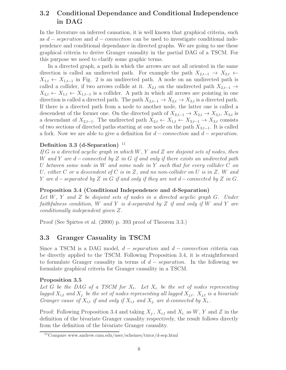### 3.2 Conditional Dependance and Conditional Independence in DAG

In the literature on inferred causation, it is well known that graphical criteria, such as  $d - s$ eperation and  $d -$ connection can be used to investigate conditional independence and conditional dependance in directed graphs. We are going to use these graphical criteria to derive Granger causality in the partial DAG of a TSCM. For this purpose we need to clarify some graphic terms.

In a directed graph, a path in which the arrows are not all oriented in the same direction is called an undirected path. For example the path  $X_{2,t-1}$  →  $X_{2,t}$  ←  $X_{1,t} \leftarrow X_{1,t-1}$  in Fig. 2 is an undirected path. A node on an undirected path is called a collider, if two arrows collide at it.  $X_{2,t}$  on the undirected path  $X_{2,t-1} \rightarrow$  $X_{2,t} \leftarrow X_{1,t} \leftarrow X_{1,t-1}$  is a collider. A path in which all arrows are pointing in one direction is called a directed path. The path  $X_{2,t-1} \to X_{2,t} \to X_{3,t}$  is a directed path. If there is a directed path from a node to another node, the latter one is called a descendent of the former one. On the directed path of  $X_{2,t-1} \to X_{2,t} \to X_{3,t}$ ,  $X_{3,t}$  is a descendant of  $X_{2,t-1}$ . The undirected path  $X_{2,t} \leftarrow X_{1,t} \leftarrow X_{3,t-1} \rightarrow X_{3,t}$  consists of two sections of directed paths starting at one node on the path  $X_{3,t-1}$ . It is called a fork. Now we are able to give a definition for  $d$  – *connection* and  $d$  – *separation*.

#### Definition 3.3 (d-Separation)  $11$

*If* G *is a directed acyclic graph in which* W*,* Y *and* Z *are disjoint sets of nodes, then* W *and* Y *are* d − connected *by* Z *in* G *if and only if there exists an undirected path* U *between some node in* W *and some node in* Y *such that for every collider* C *on* U*, either* C *or a descendent of* C *is in* Z*, and no non-collider on* U *is in* Z*.* W *and* Y *are* d − separated *by* Z *in* G *if and only if they are not* d − connected *by* Z *in* G*.*

#### Proposition 3.4 (Conditional Independence and d-Separation)

*Let* W*,* Y *and* Z *be disjoint sets of nodes in a directed acyclic graph* G*. Under faithfulness condition,* W *and* Y *is d-separated by* Z *if and only if* W *and* Y *are conditionally independent given* Z*.*

Proof (See Spirtes et al. (2000) p. 393 proof of Theorem 3.3.)

#### 3.3 Granger Casuality in TSCM

Since a TSCM is a DAG model,  $d$  – separation and  $d$  – connection criteria can be directly applied to the TSCM. Following Proposition 3.4, it is straightforward to formulate Granger causality in terms of  $d - separation$ . In the following we formulate graphical criteria for Granger causality in a TSCM.

#### Proposition 3.5

Let  $G$  be the DAG of a TSCM for  $X_t$ . Let  $X_i$  be the set of nodes representing lagged  $X_{i,t}$  and  $X_j$ , be the set of nodes representing all lagged  $X_{j,t}$ .  $X_{j,t}$  is a bivariate *Granger cause of*  $X_{i,t}$  *if and only if*  $X_{i,t}$  *and*  $X_j$  *are d-connected by*  $X_i$ .

Proof: Following Proposition 3.4 and taking  $X_{j}$ ,  $X_{i,t}$  and  $X_{i}$  as  $W$ ,  $Y$  and  $Z$  in the definition of the bivariate Granger causality respectively, the result follows directly from the definition of the bivariate Granger causality.

<sup>11</sup>Compare www.andrew.cmu.edu/user/scheines/tutor/d-sep.html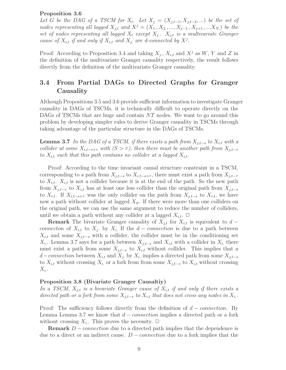#### Proposition 3.6

Let G be the DAG of a TSCM for  $X_t$ . Let  $X_j = (X_{j,t-1}, X_{j,t-2}, ...)$  be the set of nodes representing all lagged  $X_{j,t}$  and  $X^j = (X_{1,}, X_{2,},..., X_{j-1,}, X_{j+1,},...X_{N,})$  be the set of nodes representing all lagged  $X_t$  except  $X_{j}$ .  $X_{j,t}$  *is a multivariate Granger cause of*  $X_{i,t}$  *if and only if*  $X_{i,t}$  *and*  $X_j$  *are d-connected by*  $X^j$ *.* 

Proof: According to Proposition 3.4 and taking  $X_{j.}, X_{i,t}$  and  $X^j$  as  $W, Y$  and  $Z$  in the definition of the multivariate Granger causality respectively, the result follows directly from the definition of the multivariate Granger causality.

### 3.4 From Partial DAGs to Directed Graphs for Granger Causality

Although Propositions 3.5 and 3.6 provide sufficient information to investigate Granger causality in DAGs of TSCMs, it is technically difficult to operate directly on the DAGs of TSCMs that are huge and contain NT nodes. We want to go around this problem by developing simpler rules to derive Granger causality in TSCMs through taking advantage of the particular structure in the DAGs of TSCMs.

**Lemma 3.7** *In the DAG of a TSCM, if there exists a path from*  $X_{j,t-s}$  *to*  $X_{i,t}$  *with a collider at some*  $X_{i,t-s+\tau}$  *with*  $(S > \tau)$ *, then there must be another path from*  $X_{j,t-v}$ *to*  $X_{i,t}$  *such that this path contains no collider at a lagged*  $X_{i,t}$ *.* 

Proof: According to the time invariant causal structure constraint in a TSCM, corresponding to a path from  $X_{j,t-s}$  to  $X_{i,t-s+\tau}$ , there must exist a path from  $X_{j,t-\tau}$ to  $X_{i,t}$ .  $X_{i,t}$  is not a collider because it is at the end of the path. So the new path from  $X_{j,t-\tau}$  to  $X_{i,t}$  has at least one less collider than the original path from  $X_{j,t-s}$ to  $X_{i,t}$ . If  $X_{i,t-s+\tau}$  was the only collider on the path from  $X_{j,t-s}$  to  $X_{i,t}$ , we have now a path without collider at lagged  $X_{it}$ . If there were more than one colliders on the original path, we can use the same argument to reduce the number of colliders, until we obtain a path without any collider at a lagged  $X_{i,t}$ .  $\Box$ 

**Remark** The bivariate Granger causality of  $X_{j,t}$  for  $X_{i,t}$  is equivalent to  $d$  − connecton of  $X_{i,t}$  to  $X_j$ . by  $X_i$ . If the  $d$  – connection is due to a path between  $X_{i,t}$  and some  $X_{j,t-s}$  with a collider, the collider must be in the conditioning set  $X_i$ . Lemma 3.7 says for a path between  $X_{j,t-s}$  and  $X_{i,t}$  with a collider in  $X_i$ , there must exist a path from some  $X_{j,t-v}$  to  $X_{i,t}$  without collider. This implies that a d – connection between  $X_{i,t}$  and  $X_j$  by  $X_i$  implies a directed path from some  $X_{j,t-s}$ to  $X_{i,t}$  without crossing  $X_i$  or a fork from from some  $X_{j,t-v}$  to  $X_{i,t}$  without crossing  $X_{i.}.$ 

#### Proposition 3.8 (Bivariate Granger Causaltiy)

*In a TSCM,*  $X_{j,t}$  *is a bivariate Granger cause of*  $X_{i,t}$  *if and only if there exists a directed path or a fork from some*  $X_{i,t-s}$  *to*  $X_{i,t}$  *that does not cross any nodes in*  $X_i$ .

Proof: The sufficiency follows directly from the definition of  $d$  – *connection*. By Lemma Lemma 3.7 we know that  $d$  – *connection* implies a directed path or a fork without crossing  $X_i$ . This proves the necessity.  $\Box$ 

**Remark**  $D$  – *connection* due to a directed path implies that the dependence is due to a direct or an indirect cause.  $D$  – *connection* due to a fork implies that the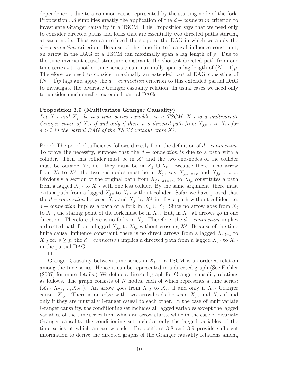dependence is due to a common cause represented by the starting node of the fork. Proposition 3.8 simplifies greatly the application of the  $d$  – *connection* criterion to investigate Granger causality in a TSCM. This Proposition says that we need only to consider directed paths and forks that are essentially two directed paths starting at same node. Thus we can reduced the scope of the DAG in which we apply the  $d$  – connection criterion. Because of the time limited causal influence constraint, an arrow in the DAG of a TSCM can maximally span a lag length of  $p$ . Due to the time invariant causal structure constraint, the shortest directed path from one time series i to another time series j can maximally span a lag length of  $(N-1)p$ . Therefore we need to consider maximally an extended partial DAG consisting of  $(N-1)p$  lags and apply the d – connection criterion to this extended partial DAG to investigate the bivariate Granger casuality relation. In usual cases we need only to consider much smaller extended partial DAGs.

#### Proposition 3.9 (Multivariate Granger Causality)

Let  $X_{i,t}$  and  $X_{j,t}$  be two time series variables in a TSCM.  $X_{j,t}$  is a multivariate *Granger cause of*  $X_{i,t}$  *if and only if there is a directed path from*  $X_{i,t-s}$  *to*  $X_{i,t}$  *for*  $s > 0$  in the partial DAG of the TSCM without cross  $X^j$ .

Proof: The proof of sufficiency follows directly from the definition of  $d$  – connection. To prove the necessity, suppose that the  $d$  – *connection* is due to a path with a collider. Then this collider must be in  $X<sup>j</sup>$  and the two end-nodes of the collider must be outside  $X^j$ , i.e. they must be in  $X_{j} \cup X_t$ . Because there is no arrow from  $X_t$  to  $X^j$ , the two end-nodes must be in  $X_{j,1}$ , say  $X_{j,t-s+v}$  and  $X_{j,t-s+v+w}$ . Obviously a section of the original path from  $X_{i,t-s+v+w}$  to  $X_{i,t}$  constitutes a path from a lagged  $X_{i,t}$  to  $X_{i,t}$  with one less collder. By the same argument, there must exits a path from a lagged  $X_{i,t}$  to  $X_{i,t}$  without collider. Sofar we have proved that the  $d$  – connection between  $X_{i,t}$  and  $X_j$  by  $X^j$  implies a path without collider, i.e. d – connection implies a path or a fork in  $X_j \cup X_t$ . Since no arrow goes from  $X_t$ to  $X_i$ , the staring point of the fork must be in  $X_i$ . But, in  $X_i$  all arrows go in one direction. Therefore there is no forks in  $X_j$ . Therefore, the  $d$  – connection implies a directed path from a lagged  $X_{j,t}$  to  $X_{i,t}$  without crossing  $X^j$ . Because of the time finite causal influence constraint there is no direct arrows from a lagged  $X_{j,t-s}$  to  $X_{i,t}$  for  $s \geq p$ , the  $d$  – connection implies a directed path from a lagged  $X_{j,t}$  to  $X_{i,t}$ in the partial DAG.

 $\Box$ 

Granger Causality between time series in  $X_t$  of a TSCM is an ordered relation among the time series. Hence it can be represented in a directed graph (See Eichler (2007) for more details.) We define a directed graph for Granger causality relations as follows. The graph consists of  $N$  nodes, each of which represents a time series:  $(X_{1,t}, X_{2,t},..., X_{N,t})$ . An arrow goes from  $X_{j,t}$  to  $X_{i,t}$  if and only if  $X_{j,t}$  Granger causes  $X_{i,t}$ . There is an edge with two arrowheads between  $X_{j,t}$  and  $X_{i,t}$  if and only if they are mutually Granger causal to each other. In the case of multivariate Granger causality, the conditioning set includes all lagged variables except the lagged variables of the time series from which an arrow starts, while in the case of bivariate Granger causality the conditioning set includes only the lagged variables of the time series at which an arrow ends. Propositions 3.8 and 3.9 provide sufficient information to derive the directed graphs of the Granger causality relations among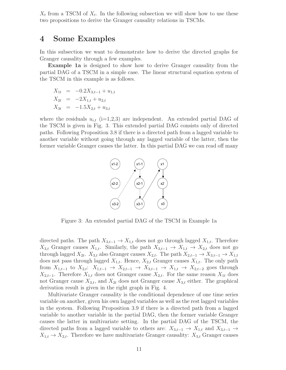$X_t$  from a TSCM of  $X_t$ . In the following subsection we will show how to use these two propositions to derive the Granger causality relations in TSCMs.

### 4 Some Examples

In this subsection we want to demonstrate how to derive the directed graphs for Granger causality through a few examples.

Example 1a is designed to show how to derive Granger causality from the partial DAG of a TSCM in a simple case. The linear structural equation system of the TSCM in this example is as follows.

$$
X_{1t} = -0.2X_{3,t-1} + u_{1,t}
$$
  
\n
$$
X_{2t} = -2X_{1,t} + u_{2,t}
$$
  
\n
$$
X_{3t} = -1.5X_{2,t} + u_{3,t}
$$

where the residuals  $u_{i,t}$  (i=1,2,3) are independent. An extended partial DAG of the TSCM is given in Fig. 3. This extended partial DAG consists only of directed paths. Following Proposition 3.8 if there is a directed path from a lagged variable to another variable without going through any lagged variable of the latter, then the former variable Granger causes the latter. In this partial DAG we can read off many



Figure 3: An extended partial DAG of the TSCM in Example 1a

directed paths. The path  $X_{3,t-1} \to X_{1,t}$  does not go through lagged  $X_{1,t}$ . Therefore  $X_{3,t}$  Granger causes  $X_{1,t}$ . Similarly, the path  $X_{3,t-1} \to X_{1,t} \to X_{2,t}$  does not go through lagged  $X_{2t}$ .  $X_{3,t}$  also Granger causes  $X_{2,t}$ . The path  $X_{2,t-1} \to X_{3,t-1} \to X_{1,t}$ does not pass through lagged  $X_{1,t}$ . Hence,  $X_{2,t}$  Granger causes  $X_{1,t}$ . The only path from  $X_{1,t-1}$  to  $X_{2,t}: X_{1,t-1} \rightarrow X_{2,t-1} \rightarrow X_{3,t-1} \rightarrow X_{1,t} \rightarrow X_{2,t-2}$  goes through  $X_{2,t-1}$ . Therefore  $X_{1,t}$  does not Granger cause  $X_{2,t}$ . For the same reason  $X_{1t}$  does not Granger cause  $X_{3,t}$ , and  $X_{2t}$  does not Granger cause  $X_{3,t}$  either. The graphical derivation result is given in the right graph in Fig. 4.

Multivariate Granger causality is the conditional dependence of one time series variable on another, given his own lagged variables as well as the rest lagged variables in the system. Following Proposition 3.9 if there is a directed path from a lagged variable to another variable in the partial DAG, then the former variable Granger causes the latter in multivariate setting. In the partial DAG of the TSCM, the directed paths from a lagged variable to others are:  $X_{3,t-1} \rightarrow X_{1,t}$  and  $X_{3,t-1} \rightarrow$  $X_{1,t} \to X_{2,t}$ . Therefore we have multivariate Granger causality:  $X_{3,t}$  Granger causes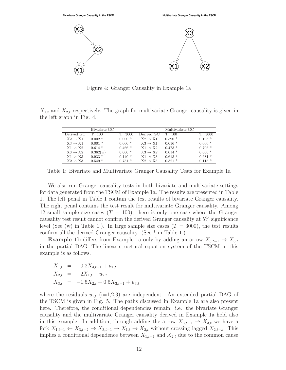

Figure 4: Granger Causality in Example 1a

 $X_{1,t}$  and  $X_{2,t}$  respectively. The graph for multivariate Granger causality is given in the left graph in Fig. 4.

|                     | Bivariate GC |            |                     | Multivariate GC |            |
|---------------------|--------------|------------|---------------------|-----------------|------------|
| Derived GC          | $T = 100$    | $T = 3000$ | Derived GC          | $T = 100$       | $T = 3000$ |
| $X2 \rightarrow X1$ | $0.002*$     | $0.000*$   | $X2 \rightarrow X1$ | $0.590*$        | $0.105*$   |
| $X3 \rightarrow X1$ | $0.001$ *    | $0.000*$   | $X3 \rightarrow X1$ | $0.016*$        | $0.000*$   |
| $X1 \rightarrow X2$ | $0.614*$     | $0.466*$   | $X1 \rightarrow X2$ | $0.473*$        | $0.706*$   |
| $X3 \rightarrow X2$ | 0.362(w)     | $0.000*$   | $X3 \rightarrow X2$ | $0.014$ *       | $0.000*$   |
| $X1 \rightarrow X3$ | $0.933*$     | $0.140*$   | $X1 \rightarrow X3$ | $0.613*$        | $0.681*$   |
| $X2 \rightarrow X3$ | $0.549*$     | $0.731*$   | $X2 \rightarrow X3$ | $0.321*$        | $0.118*$   |

Table 1: Bivariate and Multivariate Granger Causality Tests for Example 1a

We also run Granger causality tests in both bivariate and multivariate settings for data generated from the TSCM of Example 1a. The results are presented in Table 1. The left penal in Table 1 contain the test results of bivariate Granger causality. The right penal contains the test result for multivariate Granger causality. Among 12 small sample size cases  $(T = 100)$ , there is only one case where the Granger causality test result cannot confirm the derived Granger causality at 5% significance level (See (w) in Table 1.). In large sample size cases  $(T = 3000)$ , the test results confirm all the derived Granger causality. (See  $^{\ast}$  in Table 1.).

**Example 1b** differs from Example 1a only by adding an arrow  $X_{3,t-1} \to X_{3,t}$ in the partial DAG. The linear structural equation system of the TSCM in this example is as follows.

$$
X_{1,t} = -0.2X_{3,t-1} + u_{1,t}
$$
  
\n
$$
X_{2,t} = -2X_{1,t} + u_{2,t}
$$
  
\n
$$
X_{3,t} = -1.5X_{2,t} + 0.5X_{3,t-1} + u_{3,t}
$$

where the residuals  $u_{i,t}$  (i=1,2,3) are independent. An extended partial DAG of the TSCM is given in Fig. 5. The paths discussed in Example 1a are also present here. Therefore, the conditional dependencies remain: i.e. the bivariate Granger causality and the multivariate Granger causality derived in Example 1a hold also in this example. In addition, through adding the arrow  $X_{3,t-1} \to X_{3,t}$  we have a fork  $X_{1,t-1} \leftarrow X_{3,t-2} \rightarrow X_{3,t-1} \rightarrow X_{1,t} \rightarrow X_{2,t}$  without crossing lagged  $X_{2,t-s}$ . This implies a conditional dependence between  $X_{1,t-1}$  and  $X_{2,t}$  due to the common cause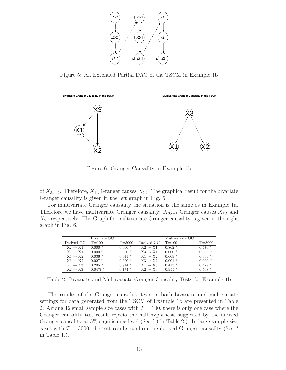

Figure 5: An Extended Partial DAG of the TSCM in Example 1b



Figure 6: Granger Causality in Example 1b

of  $X_{3,t-2}$ . Therefore,  $X_{1,t}$  Granger causes  $X_{2,t}$ . The graphical result for the bivariate Granger causality is given in the left graph in Fig. 6.

For multivariate Granger causality the situation is the same as in Example 1a. Therefore we have multivariate Granger causality:  $X_{3,t-1}$  Granger causes  $X_{1,t}$  and  $X_{2,t}$  respectively. The Graph for multivariate Granger causality is given in the right graph in Fig. 6.

|                     | Bivariate GC |            |                     | Multivariate GC |            |
|---------------------|--------------|------------|---------------------|-----------------|------------|
| Derived GC          | $T = 100$    | $T = 3000$ | Derived GC          | $T = 100$       | $T = 3000$ |
| $X2 \rightarrow X1$ | $0.000*$     | $0.000*$   | $X2 \rightarrow X1$ | $0.862*$        | $0.476*$   |
| $X3 \rightarrow X1$ | $0.000*$     | $0.000*$   | $X3 \rightarrow X1$ | $0.000*$        | $0.000*$   |
| $X1 \rightarrow X2$ | $0.036*$     | $0.011 *$  | $X1 \rightarrow X2$ | $0.609*$        | $0.339*$   |
| $X3 \rightarrow X2$ | $0.027$ *    | $0.000*$   | $X3 \rightarrow X2$ | $0.001*$        | $0.000*$   |
| $X1 \rightarrow X3$ | $0.205*$     | $0.944*$   | $X1 \rightarrow X3$ | $0.413*$        | $0.429*$   |
| $X2 \rightarrow X3$ | $0.047(-)$   | $0.174*$   | $X2 \rightarrow X3$ | $0.955*$        | $0.568*$   |

Table 2: Bivariate and Multivariate Granger Causality Tests for Example 1b

The results of the Granger causality tests in both bivariate and multivariate settings for data generated from the TSCM of Example 1b are presented in Table 2. Among 12 small sample size cases with  $T = 100$ , there is only one case where the Granger causality test result rejects the null hypothesis suggested by the derived Granger causality at 5% significance level (See (-) in Table 2.). In large sample size cases with  $T = 3000$ , the test results confirm the derived Granger causality (See  $*$ in Table 1.).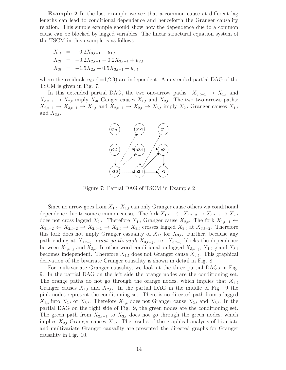Example 2 In the last example we see that a common cause at different lag lengths can lead to conditional dependence and henceforth the Granger causality relation. This simple example should show how the dependence due to a common cause can be blocked by lagged variables. The linear structural equation system of the TSCM in this example is as follows.

$$
X_{1t} = -0.2X_{3,t-1} + u_{1,t}
$$
  
\n
$$
X_{2t} = -0.2X_{2,t-1} - 0.2X_{3,t-1} + u_{2,t}
$$
  
\n
$$
X_{3t} = -1.5X_{2,t} + 0.5X_{3,t-1} + u_{3,t}
$$

where the residuals  $u_{i,t}$  (i=1,2,3) are independent. An extended partial DAG of the TSCM is given in Fig. 7.

In this extended partial DAG, the two one-arrow paths:  $X_{3,t-1} \rightarrow X_{1,t}$  and  $X_{3,t-1}$  →  $X_{2,t}$  imply  $X_{3t}$  Ganger causes  $X_{1,t}$  and  $X_{2,t}$ . The two two-arrows paths:  $X_{2,t-1} \to X_{3,t-1} \to X_{1,t}$  and  $X_{2,t-1} \to X_{2,t} \to X_{3,t}$  imply  $X_{2,t}$  Granger causes  $X_{1,t}$ and  $X_{3,t}$ .



Figure 7: Partial DAG of TSCM in Example 2

Since no arrow goes from  $X_{1,t}$ ,  $X_{1,t}$  can only Granger cause others via conditional dependence duo to some common causes. The fork  $X_{1,t-1} \leftarrow X_{3,t-2} \rightarrow X_{3,t-1} \rightarrow X_{2,t}$ does not cross lagged  $X_{2,t}$ . Therefore  $X_{1,t}$  Granger cause  $X_{2,t}$ . The fork  $X_{1,t-1}$  ←  $X_{3,t-2} \leftarrow X_{2,t-2} \rightarrow X_{2,t-1} \rightarrow X_{2,t} \rightarrow X_{3,t}$  crosses lagged  $X_{3,t}$  at  $X_{3,t-2}$ . Therefore this fork does not imply Granger casuality of  $X_{1t}$  for  $X_{3,t}$ . Further, because any path ending at  $X_{1,t-j}$ , must go through  $X_{3,t-j}$ , i.e.  $X_{3,t-j}$  blocks the dependence between  $X_{1,t-j}$  and  $X_{3,t}$ . In other word conditional on lagged  $X_{3,t-j}$ ,  $X_{1,t-j}$  and  $X_{3,t}$ becomes independent. Therefore  $X_{1,t}$  does not Granger cause  $X_{3,t}$ . This graphical derivation of the bivariate Granger causality is shown in detail in Fig. 8.

For multivariate Granger causality, we look at the three partial DAGs in Fig. 9. In the partial DAG on the left side the orange nodes are the conditioning set. The orange paths do not go through the orange nodes, which implies that  $X_{3,t}$ Granger causes  $X_{1,t}$  and  $X_{2,t}$ . In the partial DAG in the middle of Fig. 9 the pink nodes represent the conditioning set. There is no directed path from a lagged  $X_{1,t}$  into  $X_{2,t}$  or  $X_{3,t}$ . Therefore  $X_{1,t}$  does not Granger cause  $X_{2,t}$  and  $X_{3,t}$ . In the partial DAG on the right side of Fig. 9, the green nodes are the conditioning set. The green path from  $X_{2,t-1}$  to  $X_{3,t}$  does not go through the green nodes, which implies  $X_{2,t}$  Granger causes  $X_{3,t}$ . The results of the graphical analysis of bivariate and multivariate Granger causality are presented the directed graphs for Granger causality in Fig. 10.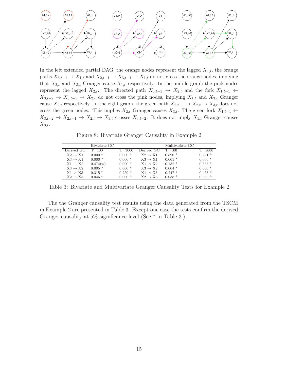

In the left extended partial DAG, the orange nodes represent the lagged  $X_{1,t}$ , the orange paths  $X_{3,t-1} \to X_{1,t}$  and  $X_{2,t-1} \to X_{3,t-1} \to X_{1,t}$  do not cross the orange nodes, implying that  $X_{2,t}$  and  $X_{3,t}$  Granger cause  $X_{1,t}$  respectively. In the middle graph the pink nodes represent the lagged  $X_{2,t}$ . The directed path  $X_{3,t-1} \rightarrow X_{2,t}$  and the fork  $X_{1,t-1} \leftarrow$  $X_{3,t-2} \rightarrow X_{3,t-1} \rightarrow X_{2,t}$  do not cross the pink nodes, implying  $X_{1,t}$  and  $X_{3,t}$  Granger cause  $X_{2,t}$  respectively. In the right graph, the green path  $X_{2,t-1} \to X_{2,t} \to X_{3,t}$  does not cross the green nodes. This implies  $X_{2,t}$  Granger causes  $X_{3,t}$ . The green fork  $X_{1,t-1}$  ←  $X_{3,t-2} \to X_{2,t-1} \to X_{2,t} \to X_{3,t}$  crosses  $X_{3,t-2}$ . It does not imply  $X_{1,t}$  Granger causes  $X_{3,t}$ .

Figure 8: Bivariate Granger Causality in Example 2

|                     | Bivariate GC |            |                     | Multivariate GC |            |
|---------------------|--------------|------------|---------------------|-----------------|------------|
| Derived GC          | $T = 100$    | $T = 3000$ | Derived GC          | $T = 100$       | $T = 3000$ |
| $X2 \rightarrow X1$ | $0.000*$     | $0.000*$   | $X2 \rightarrow X1$ | $0.890*$        | $0.221*$   |
| $X3 \rightarrow X1$ | $0.000*$     | $0.000*$   | $X3 \rightarrow X1$ | $0.001*$        | $0.000*$   |
| $X1 \rightarrow X2$ | 0.474(w)     | $0.000*$   | $X1 \rightarrow X2$ | $0.132*$        | $0.363*$   |
| $X3 \rightarrow X2$ | $0.005$ *    | $0.000*$   | $X3 \rightarrow X2$ | $0.004*$        | $0.000*$   |
| $X1 \rightarrow X3$ | $0.315*$     | $0.259*$   | $X1 \rightarrow X3$ | $0.247*$        | $0.453*$   |
| $X2 \rightarrow X3$ | $0.045*$     | $0.000*$   | $X2 \rightarrow X3$ | $0.038*$        | $0.000*$   |

Table 3: Bivariate and Multivariate Granger Causality Tests for Example 2

The the Granger causality test results using the data generated from the TSCM in Example 2 are presented in Table 3. Except one case the tests confirm the derived Granger causality at 5% significance level (See \* in Table 3.).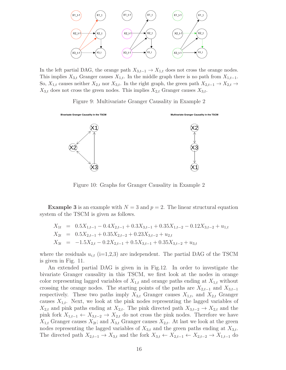

In the left partial DAG, the orange path  $X_{3,t-1} \to X_{1,t}$  does not cross the orange nodes. This implies  $X_{3,t}$  Granger causes  $X_{1,t}$ . In the middle graph there is no path from  $X_{1,t-1}$ . So,  $X_{1,t}$  causes neither  $X_{2,t}$  nor  $X_{3,t}$ . In the right graph, the green path  $X_{2,t-1} \to X_{2,t} \to$  $X_{3,t}$  does not cross the green nodes. This implies  $X_{2,t}$  Granger causes  $X_{3,t}$ .

Figure 9: Multivariate Granger Causality in Example 2



Figure 10: Graphs for Granger Causality in Example 2

**Example 3** is an example with  $N = 3$  and  $p = 2$ . The linear structural equation system of the TSCM is given as follows.

$$
X_{1t} = 0.5X_{1,t-1} - 0.4X_{2,t-1} + 0.3X_{3,t-1} + 0.35X_{1,t-2} - 0.12X_{3,t-2} + u_{1,t}
$$
  
\n
$$
X_{2t} = 0.5X_{2,t-1} + 0.35X_{2,t-2} + 0.23X_{3,t-2} + u_{2,t}
$$
  
\n
$$
X_{3t} = -1.5X_{2,t} - 0.2X_{2,t-1} + 0.5X_{3,t-1} + 0.35X_{3,t-2} + u_{3,t}
$$

where the residuals  $u_{i,t}$  (i=1,2,3) are independent. The partial DAG of the TSCM is given in Fig. 11.

An extended partial DAG is given in in Fig.12. In order to investigate the bivariate Granger causality in this TSCM, we first look at the nodes in orange color representing lagged variables of  $X_{1,t}$  and orange paths ending at  $X_{1,t}$  without crossing the orange nodes. The starting points of the paths are  $X_{2,t-1}$  and  $X_{3,t-1}$ respectively. These two paths imply  $X_{3,t}$  Granger causes  $X_{1,t}$ , and  $X_{2,t}$  Granger causes  $X_{1,t}$ . Next, we look at the pink nodes representing the lagged variables of  $X_{2,t}$  and pink paths ending at  $X_{2,t}$ . The pink directed path  $X_{3,t-2} \to X_{2,t}$  and the pink fork  $X_{1,t-1} \leftarrow X_{3,t-2} \rightarrow X_{2,t}$  do not cross the pink nodes. Therefore we have  $X_{1,t}$  Granger causes  $X_{2t}$ ; and  $X_{3,t}$  Granger causes  $X_{2,t}$ . At last we look at the green nodes representing the lagged variables of  $X_{3,t}$  and the green paths ending at  $X_{3,t}$ . The directed path  $X_{2,t-1} \to X_{3,t}$  and the fork  $X_{3,t} \leftarrow X_{2,t-1} \leftarrow X_{2,t-2} \to X_{1,t-1}$  do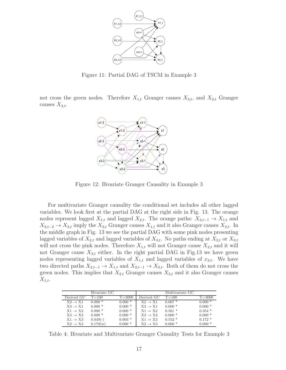

Figure 11: Partial DAG of TSCM in Example 3

not cross the green nodes. Therefore  $X_{1,t}$  Granger causes  $X_{3,t}$ , and  $X_{2,t}$  Granger causes  $X_{3,t}$ .



Figure 12: Bivariate Granger Causality in Example 3

For multivariate Granger causality the conditional set includes all other lagged variables. We look first at the partial DAG at the right side in Fig. 13. The orange nodes represent lagged  $X_{1,t}$  and lagged  $X_{2,t}$ . The orange paths:  $X_{3,t-1} \to X_{1,t}$  and  $X_{3,t-2} \to X_{2,t}$  imply the  $X_{3,t}$  Granger causes  $X_{1,t}$  and it also Granger causes  $X_{2,t}$ . In the middle graph in Fig. 13 we see the partial DAG with some pink nodes presenting lagged variables of  $X_{2,t}$  and lagged variables of  $X_{3,t}$ . No paths ending at  $X_{2,t}$  or  $X_{3,t}$ will not cross the pink nodes. Therefore  $X_{1,t}$  will not Granger cause  $X_{2,t}$  and it will not Granger cause  $X_{3,t}$  either. In the right partial DAG in Fig.13 we have green nodes representing lagged variables of  $X_{1,t}$  and lagged variables of  $x_{3,t}$ . We have two directed paths  $X_{2,t-1} \to X_{1,t}$  and  $X_{2,t-1} \to X_{3,t}$ . Both of them do not cross the green nodes. This implies that  $X_{2,t}$  Granger causes  $X_{3,t}$  and it also Granger causes  $X_{1,t}.$ 

|                     | Bivariate GC |            |                     | Multivariate GC |            |
|---------------------|--------------|------------|---------------------|-----------------|------------|
| Derived GC          | $T = 100$    | $T = 3000$ | Derived GC          | $T = 100$       | $T = 3000$ |
| $X2 \rightarrow X1$ | $0.000*$     | $0.000*$   | $X2 \rightarrow X1$ | $0.007*$        | $0.000*$   |
| $X3 \rightarrow X1$ | $0.000*$     | $0.000*$   | $X3 \rightarrow X1$ | $0.000*$        | $0.000*$   |
| $X1 \rightarrow X2$ | $0.006*$     | $0.000*$   | $X1 \rightarrow X2$ | $0.561*$        | $0.354$ *  |
| $X3 \rightarrow X2$ | $0.000*$     | $0.000*$   | $X3 \rightarrow X2$ | $0.000*$        | $0.000*$   |
| $X1 \rightarrow X3$ | $0.049(-)$   | $0.003*$   | $X1 \rightarrow X3$ | $0.552*$        | $0.172*$   |
| $X2 \rightarrow X3$ | 0.179(w)     | $0.000*$   | $X2 \rightarrow X3$ | $0.000*$        | $0.000*$   |

Table 4: Bivariate and Multivariate Granger Causality Tests for Example 3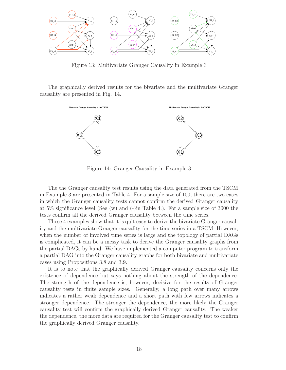

Figure 13: Multivariate Granger Causality in Example 3

The graphically derived results for the bivariate and the multivariate Granger causality are presented in Fig. 14.



Figure 14: Granger Causality in Example 3

The the Granger causality test results using the data generated from the TSCM in Example 3 are presented in Table 4. For a sample size of 100, there are two cases in which the Granger causality tests cannot confirm the derived Granger causality at  $5\%$  significance level (See (w) and (-)in Table 4.). For a sample size of 3000 the tests confirm all the derived Granger causality between the time series.

These 4 examples show that it is quit easy to derive the bivariate Granger causality and the multivariate Granger causality for the time series in a TSCM. However, when the number of involved time series is large and the topology of partial DAGs is complicated, it can be a messy task to derive the Granger causality graphs from the partial DAGs by hand. We have implemented a computer program to transform a partial DAG into the Granger causality graphs for both bivariate and multivariate cases using Propositions 3.8 and 3.9.

It is to note that the graphically derived Granger causality concerns only the existence of dependence but says nothing about the strength of the dependence. The strength of the dependence is, however, decisive for the results of Granger causality tests in finite sample sizes. Generally, a long path over many arrows indicates a rather weak dependence and a short path with few arrows indicates a stronger dependence. The stronger the dependence, the more likely the Granger causality test will confirm the graphically derived Granger causality. The weaker the dependence, the more data are required for the Granger causality test to confirm the graphically derived Granger causality.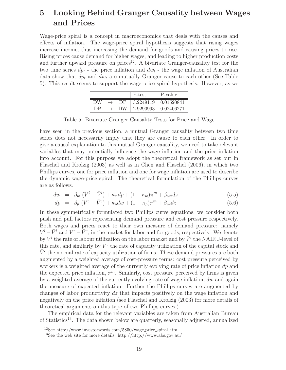## 5 Looking Behind Granger Causality between Wages and Prices

Wage-price spiral is a concept in macroeconomics that deals with the causes and effects of inflation. The wage-price spiral hypothesis suggests that rising wages increase income, thus increasing the demand for goods and causing prices to rise. Rising prices cause demand for higher wages, and leading to higher production costs and further upward pressure on prices<sup>12</sup>. A bivariate Granger-causality test for the two time series  $dp_t$  - the price inflation and  $dw_t$  - the wage inflation of Australian data show that  $dp_t$  and  $dw_t$  are mutually Granger cause to each other (See Table 5). This result seems to support the wage price spiral hypothesis. However, as we

|    |    | F-test    | P-value    |
|----|----|-----------|------------|
| DW | DP | 3.2249119 | 0.01520841 |
| DЬ | DW | 2.9290993 | 0.02406271 |

Table 5: Bivariate Granger Causality Tests for Price and Wage

have seen in the previous section, a mutual Granger causality between two time series does not necessarily imply that they are cause to each other. In order to give a causal explanation to this mutual Granger causality, we need to take relevant variables that may potentially influence the wage inflation and the price inflation into account. For this purpose we adopt the theoretical framework as set out in Flaschel and Krolzig (2003) as well as in Chen and Flaschel (2006), in which two Phillips curves, one for price inflation and one for wage inflation are used to describe the dynamic wage-price spiral. The theoretical formulation of the Phillips curves are as follows.

$$
dw = \beta_{w1}(V^{l} - \bar{V}^{l}) + \kappa_{w}dp + (1 - \kappa_{w})\pi^{m} + \beta_{w2}dz
$$
\n(5.5)

$$
dp = \beta_{p1}(V^c - \bar{V}^c) + \kappa_p dw + (1 - \kappa_p)\pi^m + \beta_{p2} dz \tag{5.6}
$$

In these symmetrically formulated two Phillips curve equations, we consider both push and pull factors representing demand pressure and cost pressure respectively. Both wages and prices react to their own measure of demand pressure: namely  $V^{l} - \bar{V}^{l}$  and  $V^{c} - \bar{V}^{c}$ , in the market for labor and for goods, respectively. We denote by  $V^l$  the rate of labour utilization on the labor market and by  $\bar{V}^l$  the NAIRU-level of this rate, and similarly by  $V^c$  the rate of capacity utilization of the capital stock and  $\bar{V}^c$  the normal rate of capacity utilization of firms. These demand pressures are both augmented by a weighted average of cost-pressure terms: cost pressure perceived by workers is a weighted average of the currently evolving rate of price inflation  $dp$  and the expected price inflation,  $\pi^m$ . Similarly, cost pressure perceived by firms is given by a weighted average of the currently evolving rate of wage inflation,  $dw$  and again the measure of expected inflation. Further the Phillips curves are augmented by changes of labor productivity  $dz$  that impacts positively on the wage inflation and negatively on the price inflation (see Flaschel and Krolzig (2003) for more details of theoretical arguments on this type of two Phillips curves.)

The empirical data for the relevant variables are taken from Australian Bureau of Statistics<sup>13</sup>. The data shown below are quarterly, seasonally adjusted, annualized

<sup>12</sup>See http://www.investorwords.com/5850/wage price spiral.html

<sup>13</sup>See the web site for more details. http://http://www.abs.gov.au/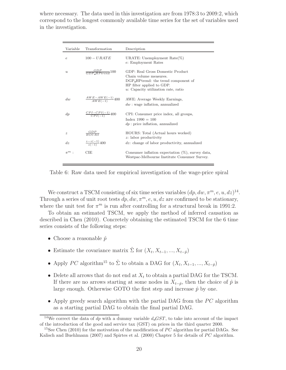where necessary. The data used in this investigation are from 1978:3 to 2009:2, which correspond to the longest commonly available time series for the set of variables used in the investigation.

| Variable         | Transformation                    | Description                                                                                                                                                              |
|------------------|-----------------------------------|--------------------------------------------------------------------------------------------------------------------------------------------------------------------------|
| $\epsilon$       | $100 - URATE$                     | URATE: Unemployment $Rate(\%)$<br>e: Employment Rates                                                                                                                    |
| $\boldsymbol{u}$ | $\frac{GDP}{GDP \; H\; P}$ 100    | GDP: Real Gross Domestic Product<br>Chain volume measures.<br>DGP_HPtrend: the trend component of<br>HP filter applied to GDP.<br>$u$ : Capacity utilization rate, ratio |
| div              | $\frac{AWE-AWE(-1)}{AWE(-1)}$ 400 | AWE: Average Weekly Earnings,<br>$dw$ : wage inflation, annualized                                                                                                       |
| $\,dp$           | $\frac{CPI-CPI(-1)}{CPI(-1)}400$  | CPI: Consumer price index, all groups,<br>$Index 1990 = 100$<br>$dp$ : price inflation, annualized                                                                       |
| $\boldsymbol{z}$ | $\frac{GDP}{HOLRS}$               | HOURS: Total (Actual hours worked)<br>$z$ : labor productivity                                                                                                           |
| dz               | $\frac{z-z(-1)}{z(-1)}$ 400       | $dz$ : change of labor productivity, annualized                                                                                                                          |
| $\pi^m$ :        | CIE                               | Consumer inflation expectation $(\%)$ , survey data,<br>Westpac-Melbourne Institute Consumer Survey.                                                                     |

Table 6: Raw data used for empirical investigation of the wage-price spiral

We construct a TSCM consisting of six time series variables  $(dp, dw, \pi^m, e, u, dz)^{14}$ . Through a series of unit root tests  $dp, dw, \pi^m, e, u, dz$  are confirmed to be stationary, where the unit test for  $\pi^m$  is run after controlling for a structural break in 1991:2.

To obtain an estimated TSCM, we apply the method of inferred causation as described in Chen (2010). Concretely obtaining the estimated TSCM for the 6 time series consists of the following steps:

- Choose a reasonable  $\hat{p}$
- Estimate the covariance matrix  $\hat{\Sigma}$  for  $(X_t, X_{t-1}, ..., X_{t-\hat{p}})$
- Apply PC algorithm<sup>15</sup> to  $\hat{\Sigma}$  to obtain a DAG for  $(X_t, X_{t-1}, ..., X_{t-\hat{p}})$
- Delete all arrows that do not end at  $X_t$  to obtain a partial DAG for the TSCM. If there are no arrows starting at some nodes in  $X_{t-p}$ , then the choice of  $\hat{p}$  is large enough. Otherwise GOTO the first step and increase  $\hat{p}$  by one.
- Apply greedy search algorithm with the partial DAG from the  $PC$  algorithm as a starting partial DAG to obtain the final partial DAG.

<sup>&</sup>lt;sup>14</sup>We correct the data of dp with a dummy variable  $d$ <sub>CST</sub>, to take into account of the impact of the introduction of the good and service tax (GST) on prices in the third quarter 2000.

<sup>&</sup>lt;sup>15</sup>See Chen (2010) for the motivation of the modification of PC algorithm for partial DAGs. See Kalisch and Buehlmann (2007) and Spirtes et al. (2000) Chapter 5 for details of  $PC$  algorithm.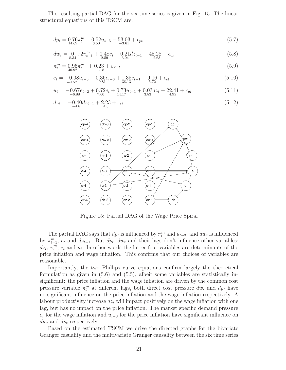The resulting partial DAG for the six time series is given in Fig. 15. The linear structural equations of this TSCM are:

$$
dp_t = 0.76\pi_t^m + 0.52u_{t-3} - 53.03 + \epsilon_{pt}
$$
  

$$
{}_{-3.61}^{(5.7)}
$$

$$
dw_t = \underset{8.34}{0} \cdot 72\pi_{t-1}^m + \underset{2.59}{0} \cdot 48e_t + \underset{3.94}{0} \cdot 21 dz_{t-1} - 45.28 + \epsilon_{wt} \tag{5.8}
$$

$$
\pi_t^m = 0.96\pi_{t-1}^m + 0.23 + \epsilon_{\pi^m t} \tag{5.9}
$$

$$
e_t = -0.08u_{t-3} - 0.36e_{t-3} + 1.35e_{t-1} + 9.06 + \epsilon_{et}
$$
  

$$
-4.57 \t(5.10)
$$

$$
u_t = -0.67e_{t-2} + 0.72e_t + 0.73u_{t-1} + 0.03dz_t - 22.41 + \epsilon_{ut}
$$
  
(5.11)

$$
dz_t = -0.40 dz_{t-1} + 2.23 + \epsilon_{zt}.
$$
\n(5.12)



Figure 15: Partial DAG of the Wage Price Spiral

The partial DAG says that  $dp_t$  is influenced by  $\pi_t^m$  and  $u_{t-3}$ ; and  $dw_t$  is influenced by  $\pi_{t-1}^m$ ,  $e_t$  and  $dz_{t-1}$ . But  $dp_t$ ,  $dw_t$  and their lags don't influence other variables:  $dz_t$ ,  $\pi_t^m$ ,  $e_t$  and  $u_t$ . In other words the latter four variables are determinants of the price inflation and wage inflation. This confirms that our choices of variables are reasonable.

Importantly, the two Phillips curve equations confirm largely the theoretical formulation as given in (5.6) and (5.5), albeit some variables are statistically insignificant: the price inflation and the wage inflation are driven by the common cost pressure variable  $\pi_t^m$  at different lags, both direct cost pressure  $dw_t$  and  $dp_t$  have no significant influence on the price inflation and the wage inflation respectively. A labour productivity increase  $dz_t$  will impact positively on the wage inflation with one lag, but has no impact on the price inflation. The market specific demand pressure  $e_t$  for the wage inflation and  $u_{t-3}$  for the price inflation have significant influence on  $dw_t$  and  $dp_t$  respectively.

Based on the estimated TSCM we drive the directed graphs for the bivariate Granger casuality and the multivariate Granger causality between the six time series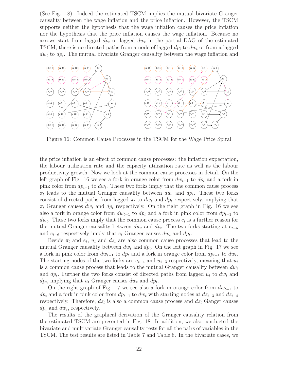(See Fig. 18). Indeed the estimated TSCM implies the mutual bivariate Granger causality between the wage inflation and the price inflation. However, the TSCM supports neither the hypothesis that the wage inflation causes the price inflation nor the hypothesis that the price inflation causes the wage inflation. Because no arrows start from lagged  $dp_t$  or lagged  $dw_t$  in the partial DAG of the estimated TSCM, there is no directed paths from a node of lagged  $dp_t$  to  $dw_t$  or from a lagged  $dw_t$  to  $dp_t$ . The mutual bivariate Granger causality between the wage inflation and



Figure 16: Common Cause Processes in the TSCM for the Wage Price Spiral

the price inflation is an effect of common cause processes: the inflation expectation, the labour utilization rate and the capacity utilization rate as well as the labour productivity growth. Now we look at the common cause processes in detail. On the left graph of Fig. 16 we see a fork in orange color from  $dw_{t-1}$  to  $dp_t$  and a fork in pink color from  $dp_{t-1}$  to  $dw_t$ . These two forks imply that the common cause process  $\pi_t$  leads to the mutual Granger causality between  $dw_t$  and  $dp_t$ . These two forks consist of directed paths from lagged  $\pi_t$  to  $dw_t$  and  $dp_t$  respectively, implying that  $\pi_t$  Granger causes  $dw_t$  and  $dp_t$  respectively. On the right graph in Fig. 16 we see also a fork in orange color from  $dw_{t-1}$  to  $dp_t$  and a fork in pink color from  $dp_{t-1}$  to  $dw_t$ . These two forks imply that the common cause process  $e_t$  is a further reason for the mutual Granger causality between  $dw_t$  and  $dp_t$ . The two forks starting at  $e_{t-5}$ and  $e_{t-6}$  respectively imply that  $e_t$  Granger causes  $dw_t$  and  $dp_t$ .

Beside  $\pi_t$  and  $e_t$ ,  $u_t$  and  $dz_t$  are also common cause processes that lead to the mutual Granger causality between  $dw_t$  and  $dp_t$ . On the left graph in Fig. 17 we see a fork in pink color from  $dw_{t-1}$  to  $dp_t$  and a fork in orange color from  $dp_{t-1}$  to  $dw_t$ . The starting nodes of the two forks are  $u_{t-4}$  and  $u_{t-3}$  respectively, meaning that  $u_t$ is a common cause process that leads to the mutual Granger causality between  $dw_t$ and  $dp_t$ . Further the two forks consist of directed paths from lagged  $u_t$  to  $dw_t$  and  $dp_t$ , implying that  $u_t$  Granger causes  $dw_t$  and  $dp_t$ .

On the right graph of Fig. 17 we see also a fork in orange color from  $dw_{t-1}$  to  $dp_t$  and a fork in pink color from  $dp_{t-1}$  to  $dw_t$  with starting nodes at  $dz_{t-3}$  and  $dz_{t-4}$ respectively. Therefore,  $dz_t$  is also a common cause process and  $dz_t$  Ganger causes  $dp_t$  and  $dw_t$ , respectively.

The results of the graphical derivation of the Granger causality relation from the estimated TSCM are presented in Fig. 18. In addition, we also conducted the bivariate and multivariate Granger causality tests for all the pairs of variables in the TSCM. The test results are listed in Table 7 and Table 8. In the bivariate cases, we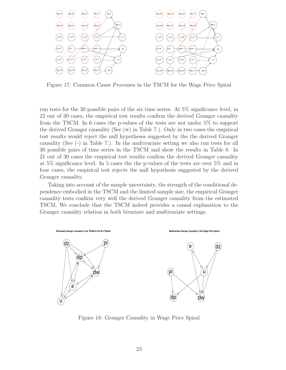

Figure 17: Common Cause Processes in the TSCM for the Wage Price Spiral

run tests for the 30 possible pairs of the six time series. At 5% significance level, in 22 out of 30 cases, the empirical test results confirm the derived Granger causality from the TSCM. In 6 cases the p-values of the tests are not under 5% to support the derived Granger causality (See (w) in Table 7.). Only in two cases the empirical test results would reject the null hypotheses suggested by the the derived Granger causality (See (-) in Table 7.). In the multivariate setting we also run tests for all 30 possible pairs of time series in the TSCM and show the results in Table 8. In 21 out of 30 cases the empirical test results confirm the derived Granger casuality at 5% significance level. In 5 cases the the p-values of the tests are over 5% and in four cases, the empirical test rejects the null hypothesis suggested by the derived Granger causality.

Taking into account of the sample uncertainty, the strength of the conditional dependence embodied in the TSCM and the limited sample size, the empirical Granger causality tests confirm very well the derived Granger causality from the estimated TSCM. We conclude that the TSCM indeed provides a causal explanation to the Granger causality relation in both bivariate and multivariate settings.



Figure 18: Granger Causality in Wage Price Spiral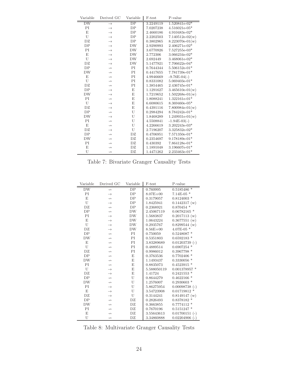| Variable            | Derived GC        | Variable        | F-test    | P-value           |
|---------------------|-------------------|-----------------|-----------|-------------------|
| $\overline{\rm DW}$ | $\rightarrow$     | $\overline{DP}$ | 3.2249119 | 1.520841e-02*     |
| ΡI                  | $\rightarrow$     | DP              | 7.0207238 | $4.516021e-05*$   |
| E                   | $\rightarrow$     | DP              | 2.4660186 | $4.910483e-02*$   |
| U                   | $\rightarrow$     | DP              | 2.2202503 | $7.140512e-02(w)$ |
| DZ                  | $\rightarrow$     | DP              | 0.3802965 | $8.223070e-01(w)$ |
| DP                  | $\rightarrow$     | <b>DW</b>       | 2.9290993 | 2.406271e-02*     |
| ΡI                  | $\rightarrow$     | DW              | 3.6770926 | 7.527255e-03*     |
| E                   | $\rightarrow$     | <b>DW</b>       | 2.772306  | 3.066234e-02*     |
| U                   | $\rightarrow$     | <b>DW</b>       | 2.692449  | 3.468061e-02*     |
| DZ                  | $\rightarrow$     | DW              | 5.1477921 | 7.706622e-04*     |
| DP                  | $\rightarrow$     | PI              | 0.7644344 | $5.506152e-01*$   |
| <b>DW</b>           | $\rightarrow$     | PI              | 0.4417655 | 7.781739e-01*     |
| E                   | $\rightarrow$     | PI              | 4.9946669 | $-9.76E-04(-)$    |
| U                   | $\rightarrow$     | PI              | 0.8331082 | $5.069403e-01*$   |
| DZ                  | $\rightarrow$     | PI              | 1.3854465 | $2.436745e-01*$   |
| DP                  | $\rightarrow$     | E               | 1.1291627 | $3.465610e-01(w)$ |
| <b>DW</b>           | $\rightarrow$     | E               | 1.7219652 | $1.502268e-01(w)$ |
| PI                  | $\rightarrow$     | E               | 1.8088241 | 1.322161e-01*     |
| U                   | $\rightarrow$     | E               | 6.6080615 | $8.369460e-05*$   |
| DZ                  | $\rightarrow$     | E               | 0.4391116 | $7.800984e-01(w)$ |
| DP                  | $\rightarrowtail$ | U               | 0.2984294 | 8.784242e-01*     |
| <b>DW</b>           | $\rightarrow$     | U               | 1.8468289 | $1.249931e-01(w)$ |
| PI                  | $\rightarrow$     | U               | 4.5508841 | $-1.94E-03(-)$    |
| E                   | $\rightarrow$     | U               | 4.2266619 | $3.202243e-03*$   |
| DZ                  | $\rightarrow$     | U               | 2.7196207 | 3.325832e-02*     |
| DP                  | $\rightarrow$     | DZ              | 0.4706951 | $7.571350e-01*$   |
| <b>DW</b>           | $\rightarrowtail$ | DZ              | 0.2354697 | 9.178189e-01*     |
| PI                  | $\leftrightarrow$ | DZ              | 0.430392  | 7.864128e-01*     |
| E                   | $\leftrightarrow$ | DZ              | 1.1891048 | $3.196607e-01*$   |
| U                   | $\rightarrow$     | DZ              | 1.4471262 | $2.233463e-01*$   |

Table 7: Bivariate Granger Causality Tests

| Variable            | Derived GC    | Variable        | F-test       | P-value             |
|---------------------|---------------|-----------------|--------------|---------------------|
| $\overline{\rm DW}$ | $\rightarrow$ | $\overline{DP}$ | 0.760995     | $\ast$<br>0.5185486 |
| PI                  | $\rightarrow$ | DP              | $8.07E + 00$ | $7.14E-05*$         |
| E                   | $\rightarrow$ | DP              | 0.3179057    | $0.8124003$ *       |
| U                   | $\rightarrow$ | DP              | 1.8425941    | $0.1442317$ (w)     |
| DZ.                 | $\rightarrow$ | DP              | 0.2368921    | $0.870454$ *        |
| DP                  | $\rightarrow$ | DW              | 2.45067119   | $0.06782165$ *      |
| PI                  | $\rightarrow$ | DW              | 1.5683837    | 0.2017113(w)        |
| E                   | $\rightarrow$ | DW              | 1.0643224    | $0.3677551$ (w)     |
| U                   | $\rightarrow$ | <b>DW</b>       | 0.2935767    | $0.8299544$ (w)     |
| DZ                  | $\rightarrow$ | <b>DW</b>       | $8.56E + 00$ | $4.07E-05$ *        |
| DP                  | $\rightarrow$ | PI              | 0.750059     | $0.5248087$ *       |
| DW                  | $\rightarrow$ | PI              | 0.5351803    | $0.6592183$ *       |
| E                   | $\rightarrow$ | PI              | 3.83289689   | $0.01203739$ (-)    |
| U                   | $\rightarrow$ | PI              | 0.4889514    | $0.6907254$ *       |
| DZ                  | $\rightarrow$ | ΡI              | 0.9986012    | $0.3967798*$        |
| DP                  | $\rightarrow$ | E               | 0.3763536    | $0.7702406*$        |
| <b>DW</b>           | $\rightarrow$ | E               | 1.1493437    | 0.3330056           |
| PI                  | $\rightarrow$ | E               | 0.8835073    | $0.4523915*$        |
| U                   | $\rightarrow$ | E               | 5.588050119  | $0.001378957$ *     |
| DZ.                 | $\rightarrow$ | E               | 1.41724      | $0.2421553*$        |
| DP                  | $\rightarrow$ | U               | 0.8644279    | $0.4622166*$        |
| <b>DW</b>           | $\rightarrow$ | U               | 1.2576007    | $0.2930603$ *       |
| PI                  | $\rightarrow$ | U               | 5.86275954   | $0.00098738$ (-)    |
| E                   | $\rightarrow$ | U               | 3.54723908   | $0.01719812$ *      |
| DZ                  | $\rightarrow$ | U               | 0.3144241    | $0.8149147$ (w)     |
| DP                  | $\rightarrow$ | DZ              | 0.2826493    | 0.8378182           |
| <b>DW</b>           | $\rightarrow$ | DZ              | 0.3663855    | $0.7774112*$        |
| PI                  | $\rightarrow$ | DZ              | 0.7670196    | $0.5151247$ *       |
| E                   | $\rightarrow$ | DZ              | 3.55643613   | $0.01700151$ (-)    |
| U                   | $\rightarrow$ | DZ              | 3.34860888   | 0.02204906<br>$(-)$ |

Table 8: Multivariate Granger Causality Tests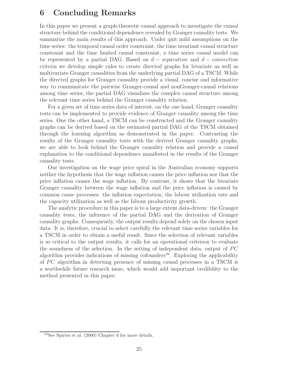### 6 Concluding Remarks

In this paper we present a graph-theoretic causal approach to investigate the causal structure behind the conditional dependence revealed by Granger causality tests. We summarize the main results of this approach. Under quit mild assumptions on the time series: the temporal causal order constraint, the time invariant causal structure constraint and the time limited causal constraint, a time series causal model can be represented by a partial DAG. Based on  $d - separation$  and  $d - connection$ criteria we develop simple rules to create directed graphs for bivariate as well as multivariate Granger causalities from the underlying partial DAG of a TSCM. While the directed graphs for Granger causality provide a visual, concise and informative way to communicate the pairwise Granger-causal and nonGranger-causal relations among time series, the partial DAG visualizes the complex causal structure among the relevant time series behind the Granger causality relation.

For a given set of time series data of interest, on the one hand, Granger causality tests can be implemented to provide evidence of Granger causality among the time series. One the other hand, a TSCM can be constructed and the Granger causality graphs can be derived based on the estimated partial DAG of the TSCM obtained through the learning algorithm as demonstrated in the paper. Contrasting the results of the Granger causality tests with the derived Granger casuality graphs, we are able to look behind the Granger causality relation and provide a causal explanation to the conditional dependence manifested in the results of the Granger causality tests.

Our investigation on the wage price spiral in the Australian economy supports neither the hypothesis that the wage inflation causes the price inflation nor that the price inflation causes the wage inflation. By contrast, it shows that the bivariate Granger causality between the wage inflation and the price inflation is caused by common cause processes: the inflation expectation, the labour utilization rate and the capacity utilization as well as the labour productivity growth.

The analytic procedure in this paper is to a large extent data-driven: the Granger causality tests, the inference of the partial DAG and the derivation of Granger causality graphs. Consequently, the output results depend solely on the chosen input data. It is, therefore, crucial to select carefully the relevant time series variables for a TSCM in order to obtain a useful result. Since the selection of relevant variables is so critical to the output results, it calls for an operational criterion to evaluate the soundness of the selection. In the setting of independent data, output of  $PC$ algorithm provides indications of missing cofounders<sup>16</sup>. Exploring the applicability of  $PC$  algorithm in detecting presence of missing causal processes in a TSCM is a worthwhile future research issue, which would add important credibility to the method presented in this paper.

<sup>16</sup>See Spirtes et al. (2000) Chapter 6 for more details.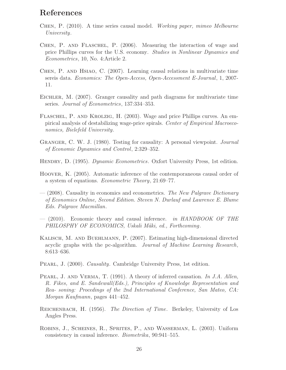### References

- Chen, P. (2010). A time series causal model. *Working paper, mimeo Melbourne University*.
- Chen, P. and Flaschel, P. (2006). Measuring the interaction of wage and price Phillips curves for the U.S. economy. *Studies in Nonlinear Dynamics and Econometrics*, 10, No. 4:Article 2.
- Chen, P. and Hsiao, C. (2007). Learning causal relations in multivariate time sereis data. *Economics: The Open-Access, Open-Accessment E-Journal*, 1, 2007- 11.
- Eichler, M. (2007). Granger causality and path diagrams for multivariate time series. *Journal of Econometrics*, 137:334–353.
- Flaschel, P. and Krolzig, H. (2003). Wage and price Phillips curves. An empirical analysis of destabilizing wage-price spirals. *Center of Empirical Macroeconomics, Bielefeld University*.
- Granger, C. W. J. (1980). Testing for causality: A personal viewpoint. *Journal of Economic Dynamics and Control*, 2:329–352.
- Hendry, D. (1995). *Dynamic Econometrics*. Oxfort University Press, 1st edition.
- Hoover, K. (2005). Automatic inference of the contemporaneous causal order of a system of equations. *Econometric Theory*, 21:69–77.
- (2008). Causality in economics and econometrics. *The New Palgrave Dictionary of Economics Online, Second Edition. Steven N. Durlauf and Lawrence E. Blume Eds. Palgrave Macmillan*.
- (2010). Economic theory and causal inference. *in HANDBOOK OF THE PHILOSPHY OF ECONOMICS, Uskali Mäki, ed., Forthcoming.*
- Kalisch, M. and Buehlmann, P. (2007). Estimating high-dimensional directed acyclic graphs with the pc-algorithm. *Journal of Machine Learning Research*, 8:613–636.
- Pearl, J. (2000). *Causality*. Cambridge University Press, 1st edition.
- Pearl, J. and Verma, T. (1991). A theory of inferred causation. *In J.A. Allen, R. Fikes, and E. Sandewall(Eds.), Principles of Knowledge Representation and Rea- soning: Procedings of the 2nd International Conference, San Mateo, CA: Morgan Kaufmann*, pages 441–452.
- Reichenbach, H. (1956). *The Direction of Time*. Berkeley, University of Los Angles Press.
- Robins, J., Scheines, R., Sprites, P., and Wasserman, L. (2003). Uniform consistency in causal inference. *Biometrika*, 90:941–515.